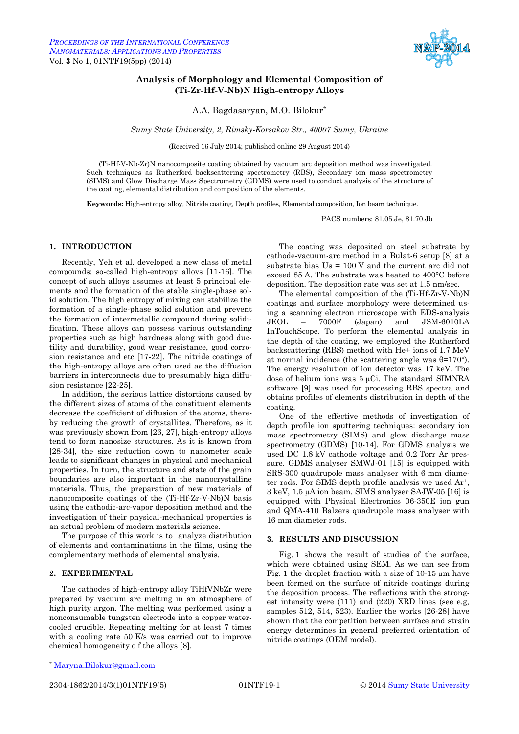

# <span id="page-0-3"></span><span id="page-0-2"></span><span id="page-0-1"></span><span id="page-0-0"></span>**Analysis of Morphology and Elemental Composition of (Ti-Zr-Hf-V-Nb)N High-entropy Alloys**

A.A. Bagdasaryan, M.O. Bilokur\*

*Sumy State University, 2, Rimsky-Korsakov Str., 40007 Sumy, Ukraine*

(Received 16 July 2014; published online 29 August 2014)

(Ti-Hf-V-Nb-Zr)N nanocomposite coating obtained by vacuum arc deposition method was investigated. Such techniques as Rutherford backscattering spectrometry (RBS), [Secondary ion mass spectrometry](http://en.wikipedia.org/wiki/Secondary_ion_mass_spectrometry) (SIMS) an[d Glow Discharge Mass Spectrometry \(GDMS\)](http://www.nrc-cnrc.gc.ca/eng/solutions/advisory/gdms_index.html) were used to conduct analysis of the structure of the coating, elemental distribution and composition of the elements.

**Keywords:** High-entropy alloy, Nitride coating, Depth profiles, Elemental composition, Ion beam technique.

PACS numbers: 81.05.Je, 81.70.Jb

### **1. INTRODUCTION**

Recently, Yeh et al. developed a new class of metal compounds; so-called high-entropy alloys [11-16]. The concept of such alloys assumes at least 5 principal elements and the formation of the stable single-phase solid solution. The high entropy of mixing can stabilize the formation of a single-phase solid solution and prevent the formation of intermetallic compound during solidification. These alloys can possess various outstanding properties such as high hardness along with good ductility and durability, good wear resistance, good corrosion resistance and etc [17-22]. The nitride coatings of the high-entropy alloys are often used as the diffusion barriers in interconnects due to presumably high diffusion resistance [22-25].

In addition, the serious lattice distortions caused by the different sizes of atoms of the constituent elements decrease the coefficient of diffusion of the atoms, thereby reducing the growth of crystallites. Therefore, as it was previously shown from [26, 27], high-entropy alloys tend to form nanosize structures. As it is known from [28-34], the size reduction down to nanometer scale leads to significant changes in physical and mechanical properties. In turn, the structure and state of the grain boundaries are also important in the nanocrystalline materials. Thus, the preparation of new materials of nanocomposite coatings of the (Ti-Hf-Zr-V-Nb)N basis using the cathodic-arc-vapor deposition method and the investigation of their physical-mechanical properties is an actual problem of modern materials science.

The purpose of this work is to analyze distribution of elements and contaminations in the films, using the complementary methods of elemental analysis.

### **2. EXPERIMENTAL**

The cathodes of high-entropy alloy TiHfVNbZr were prepared by vacuum arc melting in an atmosphere of high purity argon. The melting was performed using a nonconsumable tungsten electrode into a copper watercooled crucible. Repeating melting for at least 7 times with a cooling rate 50 K/s was carried out to improve chemical homogeneity o f the alloys [8].

1

2304-1862[/2014/](#page-0-0)[3\(](#page-0-1)[1\)](#page-0-2)[01NTF19\(](#page-0-3)5) [01NTF19-](#page-0-3)1 © [2014](#page-0-0) [Sumy State University](http://sumdu.edu.ua/)

The coating was deposited on steel substrate by cathode-vacuum-arc method in a Bulat-6 setup [8] at a substrate bias Us = 100 V and the current arc did not exceed 85 A. The substrate was heated to 400°C before deposition. The deposition rate was set at 1.5 nm/sec.

The elemental composition of the (Ti-Hf-Zr-V-Nb)N coatings and surface morphology were determined using a scanning electron microscope with EDS-analysis JEOL – 7000F (Japan) and JSM-6010LA InTouchScope. To perform the elemental analysis in the depth of the coating, we employed the Rutherford backscattering (RBS) method with He+ ions of 1.7 MeV at normal incidence (the scattering angle was θ=170°). The energy resolution of ion detector was 17 keV. The dose of helium ions was 5 µCi. The standard SIMNRA software [9] was used for processing RBS spectra and obtains profiles of elements distribution in depth of the coating.

One of the effective methods of investigation of depth profile ion sputtering techniques: secondary ion mass spectrometry (SIMS) and glow discharge mass spectrometry (GDMS) [10-14]. For GDMS analysis we used DC 1.8 kV cathode voltage and 0.2 Torr Ar pressure. GDMS analyser SMWJ-01 [15] is equipped with SRS-300 quadrupole mass analyser with 6 mm diameter rods. For SIMS depth profile analysis we used Ar<sup>+</sup>, 3 keV, 1.5 µA ion beam. SIMS analyser SAJW-05 [16] is equipped with Physical Electronics 06-350E ion gun and QMA-410 Balzers quadrupole mass analyser with 16 mm diameter rods.

## **3. RESULTS AND DISCUSSION**

Fig. 1 shows the result of studies of the surface, which were obtained using SEM. As we can see from Fig. 1 the droplet fraction with a size of 10-15 µm have been formed on the surface of nitride coatings during the deposition process. The reflections with the strongest intensity were (111) and (220) XRD lines (see e.g, samples 512, 514, 523). Earlier the works [26-28] have shown that the competition between surface and strain energy determines in general preferred orientation of nitride coatings (OEM model).

<sup>\*</sup> [Maryna.Bilokur@gmail.com](mailto:artemsumdu@ukr.net)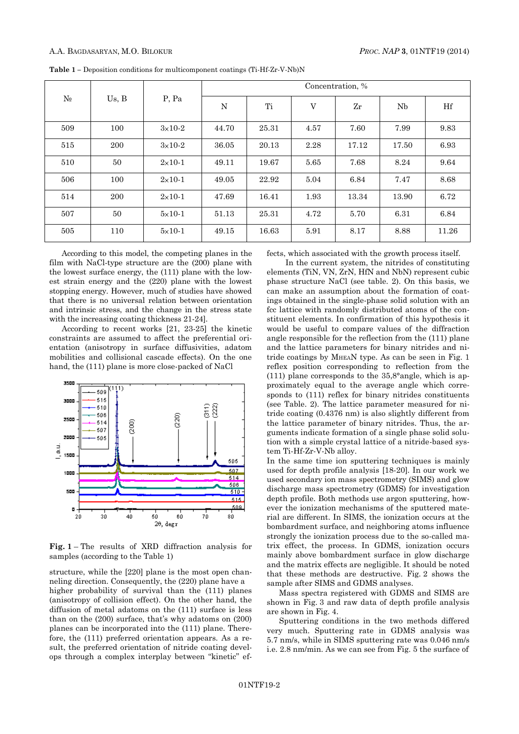| $N_2$ | Us, B | P, Pa             | Concentration, % |       |      |                     |           |       |
|-------|-------|-------------------|------------------|-------|------|---------------------|-----------|-------|
|       |       |                   | N                | Ti    | V    | $\operatorname{Zr}$ | <b>Nb</b> | Hf    |
| 509   | 100   | $3\times10-2$     | 44.70            | 25.31 | 4.57 | 7.60                | 7.99      | 9.83  |
| 515   | 200   | $3\times10-2$     | 36.05            | 20.13 | 2.28 | 17.12               | 17.50     | 6.93  |
| 510   | 50    | $2\times10-1$     | 49.11            | 19.67 | 5.65 | 7.68                | 8.24      | 9.64  |
| 506   | 100   | $2 \times 10 - 1$ | 49.05            | 22.92 | 5.04 | 6.84                | 7.47      | 8.68  |
| 514   | 200   | $2 \times 10 - 1$ | 47.69            | 16.41 | 1.93 | 13.34               | 13.90     | 6.72  |
| 507   | 50    | $5\times10-1$     | 51.13            | 25.31 | 4.72 | 5.70                | 6.31      | 6.84  |
| 505   | 110   | $5\times10-1$     | 49.15            | 16.63 | 5.91 | 8.17                | 8.88      | 11.26 |

**Table 1 –** Deposition conditions for multicomponent coatings (Ti-Hf-Zr-V-Nb)N

According to this model, the competing planes in the film with NaCl-type structure are the (200) plane with the lowest surface energy, the (111) plane with the lowest strain energy and the (220) plane with the lowest stopping energy. However, much of studies have showed that there is no universal relation between orientation and intrinsic stress, and the change in the stress state with the increasing coating thickness 21-24].

According to recent works [21, 23-25] the kinetic constraints are assumed to affect the preferential orientation (anisotropy in surface diffusivities, adatom mobilities and collisional cascade effects). On the one hand, the (111) plane is more close-packed of NaCl



**Fig. 1** – The results of XRD diffraction analysis for samples (according to the Table 1)

structure, while the [220] plane is the most open channeling direction. Consequently, the (220) plane have a higher probability of survival than the (111) planes (anisotropy of collision effect). On the other hand, the diffusion of metal adatoms on the (111) surface is less than on the (200) surface, that's why adatoms on (200) planes can be incorporated into the (111) plane. Therefore, the (111) preferred orientation appears. As a result, the preferred orientation of nitride coating develops through a complex interplay between "kinetic" effects, which associated with the growth process itself.

In the current system, the nitrides of constituting elements (TiN, VN, ZrN, HfN and NbN) represent cubic phase structure NaCl (see table. 2). On this basis, we can make an assumption about the formation of coatings obtained in the single-phase solid solution with an fcc lattice with randomly distributed atoms of the constituent elements. In confirmation of this hypothesis it would be useful to compare values of the diffraction angle responsible for the reflection from the (111) plane and the lattice parameters for binary nitrides and nitride coatings by MHEAN type. As can be seen in Fig. 1 reflex position corresponding to reflection from the (111) plane corresponds to the  $35,8^{\circ}$ angle, which is approximately equal to the average angle which corresponds to (111) reflex for binary nitrides constituents (see Table. 2). The lattice parameter measured for nitride coating (0.4376 nm) is also slightly different from the lattice parameter of binary nitrides. Thus, the arguments indicate formation of a single phase solid solution with a simple crystal lattice of a nitride-based system Ti-Hf-Zr-V-Nb alloy.

In the same time ion sputtering techniques is mainly used for depth profile analysis [18-20]. In our work we used secondary ion mass spectrometry (SIMS) and glow discharge mass spectrometry (GDMS) for investigation depth profile. Both methods use argon sputtering, however the ionization mechanisms of the sputtered material are different. In SIMS, the ionization occurs at the bombardment surface, and neighboring atoms influence strongly the ionization process due to the so-called matrix effect, the process. In GDMS, ionization occurs mainly above bombardment surface in glow discharge and the matrix effects are negligible. It should be noted that these methods are destructive. Fig. 2 shows the sample after SIMS and GDMS analyses.

Mass spectra registered with GDMS and SIMS are shown in Fig. 3 and raw data of depth profile analysis are shown in Fig. 4.

Sputtering conditions in the two methods differed very much. Sputtering rate in GDMS analysis was 5.7 nm/s, while in SIMS sputtering rate was 0.046 nm/s i.e. 2.8 nm/min. As we can see from Fig. 5 the surface of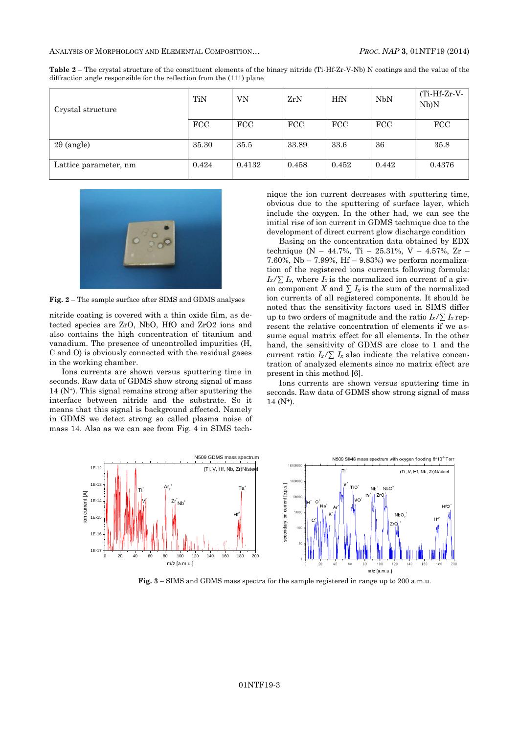| Crystal structure     | TiN        | VN     | ZrN        | <b>HfN</b> | NbN   | $(Ti-Hf-Zr-V-$<br>Nb)N |
|-----------------------|------------|--------|------------|------------|-------|------------------------|
|                       | <b>FCC</b> | FCC    | <b>FCC</b> | <b>FCC</b> | FCC   | <b>FCC</b>             |
| $2\theta$ (angle)     | 35.30      | 35.5   | 33.89      | 33.6       | 36    | 35.8                   |
| Lattice parameter, nm | 0.424      | 0.4132 | 0.458      | 0.452      | 0.442 | 0.4376                 |

**Table 2** – The crystal structure of the constituent elements of the binary nitride (Ti-Hf-Zr-V-Nb) N coatings and the value of the diffraction angle responsible for the reflection from the (111) plane



**Fig. 2** – The sample surface after SIMS and GDMS analyses

nitride coating is covered with a thin oxide film, as detected species are ZrO, NbO, HfO and ZrO2 ions and also contains the high concentration of titanium and vanadium. The presence of uncontrolled impurities (H, C and O) is obviously connected with the residual gases in the working chamber.

Ions currents are shown versus sputtering time in seconds. Raw data of GDMS show strong signal of mass  $14$  (N<sup>+</sup>). This signal remains strong after sputtering the interface between nitride and the substrate. So it means that this signal is background affected. Namely in GDMS we detect strong so called plasma noise of mass 14. Also as we can see from Fig. 4 in SIMS technique the ion current decreases with sputtering time, obvious due to the sputtering of surface layer, which include the oxygen. In the other had, we can see the initial rise of ion current in GDMS technique due to the development of direct current glow discharge condition

Basing on the concentration data obtained by EDX technique (N – 44.7%, Ti – 25.31%, V – 4.57%, Zr – 7.60%, Nb  $-$  7.99%, Hf  $-$  9.83%) we perform normalization of the registered ions currents following formula:  $I_x/\sum I_x$ , where  $I_x$  is the normalized ion current of a given component *X* and  $\sum I_x$  is the sum of the normalized ion currents of all registered components. It should be noted that the sensitivity factors used in SIMS differ up to two orders of magnitude and the ratio  $I_x/\sum I_x$  represent the relative concentration of elements if we assume equal matrix effect for all elements. In the other hand, the sensitivity of GDMS are close to 1 and the current ratio  $I_x/\sum I_x$  also indicate the relative concentration of analyzed elements since no matrix effect are present in this method [6].

Ions currents are shown versus sputtering time in seconds. Raw data of GDMS show strong signal of mass  $14 (N^+).$ 



**Fig. 3** – SIMS and GDMS mass spectra for the sample registered in range up to 200 a.m.u.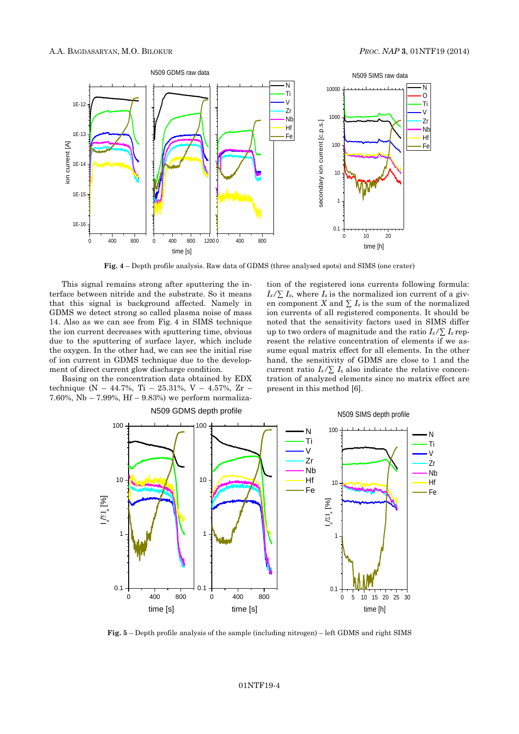

**Fig. 4** – Depth profile analysis. Raw data of GDMS (three analysed spots) and SIMS (one crater)

This signal remains strong after sputtering the interface between nitride and the substrate. So it means that this signal is background affected. Namely in GDMS we detect strong so called plasma noise of mass 14. Also as we can see from Fig. 4 in SIMS technique the ion current decreases with sputtering time, obvious due to the sputtering of surface layer, which include the oxygen. In the other had, we can see the initial rise of ion current in GDMS technique due to the development of direct current glow discharge condition.

Basing on the concentration data obtained by EDX technique (N – 44.7%, Ti – 25.31%, V – 4.57%, Zr – 7.60%, Nb – 7.99%, Hf – 9.83%) we perform normaliza-

N509 GDMS depth profile

tion of the registered ions currents following formula:  $I_x/\sum I_x$ , where  $I_x$  is the normalized ion current of a given component *X* and  $\sum I_x$  is the sum of the normalized ion currents of all registered components. It should be noted that the sensitivity factors used in SIMS differ up to two orders of magnitude and the ratio  $I_x/\sum I_x$  represent the relative concentration of elements if we assume equal matrix effect for all elements. In the other hand, the sensitivity of GDMS are close to 1 and the current ratio  $I_x/\sum I_x$  also indicate the relative concentration of analyzed elements since no matrix effect are present in this method [6].



N509 SIMS depth profile

**Fig. 5** – Depth profile analysis of the sample (including nitrogen) – left GDMS and right SIMS

### [01NTF19-](#page-0-0)4